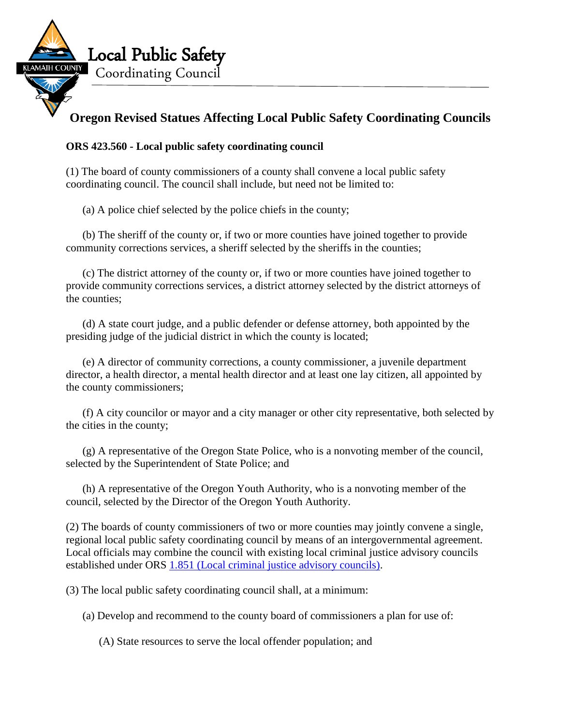

## **Oregon Revised Statues Affecting Local Public Safety Coordinating Councils**

## **ORS 423.560 - Local public safety coordinating council**

(1) The board of county commissioners of a county shall convene a local public safety coordinating council. The council shall include, but need not be limited to:

(a) A police chief selected by the police chiefs in the county;

(b) The sheriff of the county or, if two or more counties have joined together to provide community corrections services, a sheriff selected by the sheriffs in the counties;

(c) The district attorney of the county or, if two or more counties have joined together to provide community corrections services, a district attorney selected by the district attorneys of the counties;

(d) A state court judge, and a public defender or defense attorney, both appointed by the presiding judge of the judicial district in which the county is located;

(e) A director of community corrections, a county commissioner, a juvenile department director, a health director, a mental health director and at least one lay citizen, all appointed by the county commissioners;

(f) A city councilor or mayor and a city manager or other city representative, both selected by the cities in the county;

(g) A representative of the Oregon State Police, who is a nonvoting member of the council, selected by the Superintendent of State Police; and

(h) A representative of the Oregon Youth Authority, who is a nonvoting member of the council, selected by the Director of the Oregon Youth Authority.

(2) The boards of county commissioners of two or more counties may jointly convene a single, regional local public safety coordinating council by means of an intergovernmental agreement. Local officials may combine the council with existing local criminal justice advisory councils established under ORS [1.851 \(Local criminal justice advisory councils\).](https://www.oregonlaws.org/ors/1.851)

(3) The local public safety coordinating council shall, at a minimum:

(a) Develop and recommend to the county board of commissioners a plan for use of:

(A) State resources to serve the local offender population; and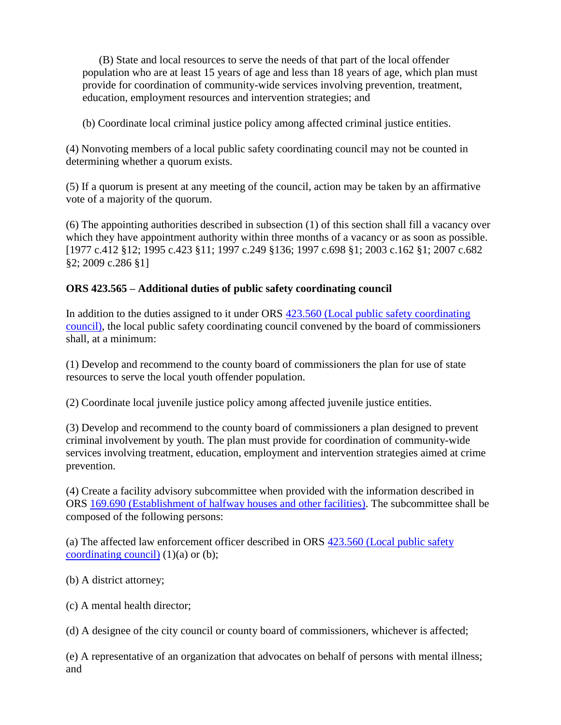(B) State and local resources to serve the needs of that part of the local offender population who are at least 15 years of age and less than 18 years of age, which plan must provide for coordination of community-wide services involving prevention, treatment, education, employment resources and intervention strategies; and

(b) Coordinate local criminal justice policy among affected criminal justice entities.

(4) Nonvoting members of a local public safety coordinating council may not be counted in determining whether a quorum exists.

(5) If a quorum is present at any meeting of the council, action may be taken by an affirmative vote of a majority of the quorum.

(6) The appointing authorities described in subsection (1) of this section shall fill a vacancy over which they have appointment authority within three months of a vacancy or as soon as possible. [1977 c.412 §12; 1995 c.423 §11; 1997 c.249 §136; 1997 c.698 §1; 2003 c.162 §1; 2007 c.682 §2; 2009 c.286 §1]

## **ORS 423.565 – Additional duties of public safety coordinating council**

In addition to the duties assigned to it under ORS [423.560 \(Local public safety coordinating](https://www.oregonlaws.org/ors/423.560)  [council\),](https://www.oregonlaws.org/ors/423.560) the local public safety coordinating council convened by the board of commissioners shall, at a minimum:

(1) Develop and recommend to the county board of commissioners the plan for use of state resources to serve the local youth offender population.

(2) Coordinate local juvenile justice policy among affected juvenile justice entities.

(3) Develop and recommend to the county board of commissioners a plan designed to prevent criminal involvement by youth. The plan must provide for coordination of community-wide services involving treatment, education, employment and intervention strategies aimed at crime prevention.

(4) Create a facility advisory subcommittee when provided with the information described in ORS [169.690 \(Establishment of halfway houses and other facilities\).](https://www.oregonlaws.org/ors/169.690) The subcommittee shall be composed of the following persons:

(a) The affected law enforcement officer described in ORS [423.560 \(Local public safety](https://www.oregonlaws.org/ors/423.560)  [coordinating council\)](https://www.oregonlaws.org/ors/423.560)  $(1)(a)$  or  $(b)$ ;

(b) A district attorney;

(c) A mental health director;

(d) A designee of the city council or county board of commissioners, whichever is affected;

(e) A representative of an organization that advocates on behalf of persons with mental illness; and